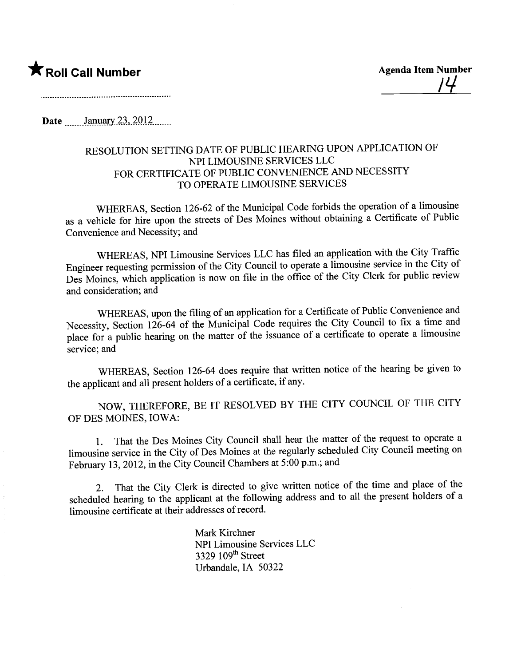## **\*** Roll Call Number Agenda Item Number

Date  $\frac{\text{January } 23, 2012 \dots}{\text{January } 23, 2012 \dots}$ 

## RESOLUTION SETTING DATE OF PUBLIC HEARING UPON APPLICATION OF NPI LIMOUSINE SERVICES LLC FOR CERTIFICATE OF PUBLIC CONVENIENCE AND NECESSITY TO OPERATE LIMOUSINE SERVICES

WHEREAS, Section 126-62 of the Municipal Code forbids the operation of a limousine as a vehicle for hire upon the streets of Des Moines without obtaining a Certificate of Public Convenience and Necessity; and

WHEREAS, NPI Limousine Services LLC has fied an application with the City Traffic Engineer requesting permission of the City Council to operate a limousine service in the City of Des Moines, which application is now on file in the office of the City Clerk for public review and consideration; and

WHEREAS, upon the fiing of an application for a Certificate of Public Convenience and Necessity, Section 126-64 of the Municipal Code requires the City Council to fix a time and place for a public hearing on the matter of the issuance of a certificate to operate a limousine service; and

WHEREAS, Section 126-64 does require that written notice of the hearing be given to the applicant and all present holders of a certificate, if any.

NOW, THEREFORE, BE IT RESOLVED BY THE CITY COUNCIL OF THE CITY OF DES MOINES, IOWA:

1. That the Des Moines City Council shall hear the matter of the request to operate a limousine service in the City of Des Moines at the regularly scheduled City Council meeting on February 13, 2012, in the City Council Chambers at 5:00 p.m.; and

2. That the City Clerk is directed to give written notice of the time and place of the scheduled hearing to the applicant at the following address and to all the present holders of a limousine certificate at their addresses of record.

> Mark Kirchner NPI Limousine Services LLC 3329 109<sup>th</sup> Street Urbandale, IA 50322